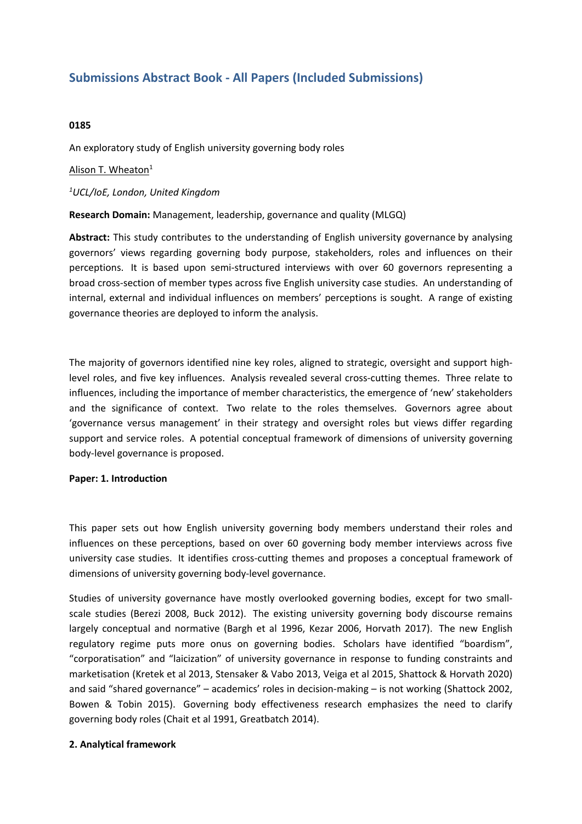# **Submissions Abstract Book - All Papers (Included Submissions)**

## **0185**

An exploratory study of English university governing body roles

## Alison T. Wheaton $1$

## *1 UCL/IoE, London, United Kingdom*

## **Research Domain:** Management, leadership, governance and quality (MLGQ)

**Abstract:** This study contributes to the understanding of English university governance by analysing governors' views regarding governing body purpose, stakeholders, roles and influences on their perceptions. It is based upon semi-structured interviews with over 60 governors representing <sup>a</sup> broad cross-section of member types across five English university case studies. An understanding of internal, external and individual influences on members' perceptions is sought. A range of existing governance theories are deployed to inform the analysis.

The majority of governors identified nine key roles, aligned to strategic, oversight and support highlevel roles, and five key influences. Analysis revealed several cross-cutting themes. Three relate to influences, including the importance of member characteristics, the emergence of 'new' stakeholders and the significance of context. Two relate to the roles themselves. Governors agree about 'governance versus management' in their strategy and oversight roles but views differ regarding support and service roles. A potential conceptual framework of dimensions of university governing body-level governance is proposed.

#### **Paper: 1. Introduction**

This paper sets out how English university governing body members understand their roles and influences on these perceptions, based on over 60 governing body member interviews across five university case studies. It identifies cross-cutting themes and proposes <sup>a</sup> conceptual framework of dimensions of university governing body-level governance.

Studies of university governance have mostly overlooked governing bodies, except for two smallscale studies (Berezi 2008, Buck 2012). The existing university governing body discourse remains largely conceptual and normative (Bargh et al 1996, Kezar 2006, Horvath 2017). The new English regulatory regime puts more onus on governing bodies. Scholars have identified "boardism", "corporatisation" and "laicization" of university governance in response to funding constraints and marketisation (Kretek et al 2013, Stensaker & Vabo 2013, Veiga et al 2015, Shattock & Horvath 2020) and said "shared governance" – academics' roles in decision-making – is not working (Shattock 2002, Bowen & Tobin 2015). Governing body effectiveness research emphasizes the need to clarify governing body roles (Chait et al 1991, Greatbatch 2014).

#### **2. Analytical framework**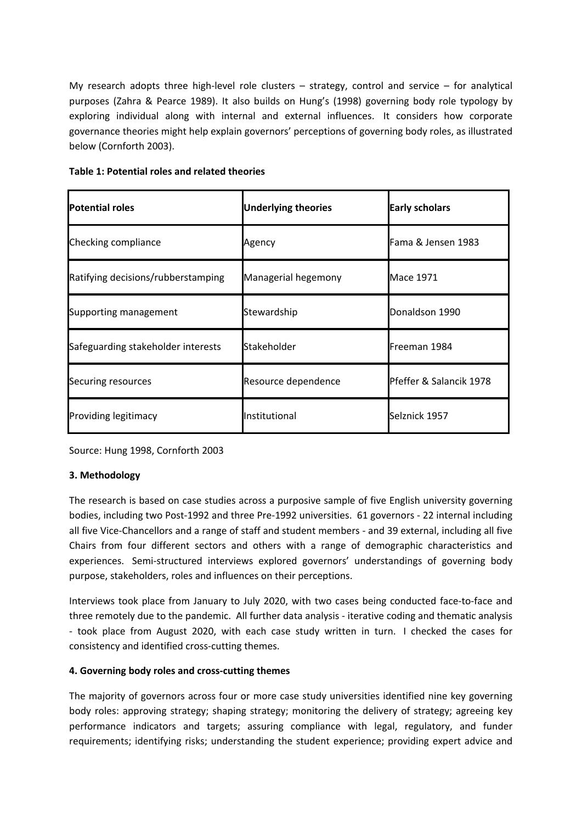My research adopts three high-level role clusters  $-$  strategy, control and service  $-$  for analytical purposes (Zahra & Pearce 1989). It also builds on Hung's (1998) governing body role typology by exploring individual along with internal and external influences. It considers how corporate governance theories might help explain governors' perceptions of governing body roles, as illustrated below (Cornforth 2003).

| Table 1: Potential roles and related theories |  |  |  |
|-----------------------------------------------|--|--|--|
|-----------------------------------------------|--|--|--|

| Potential roles                    | Underlying theories    | <b>Early scholars</b>   |  |
|------------------------------------|------------------------|-------------------------|--|
| Checking compliance                | Agency                 | Fama & Jensen 1983      |  |
| Ratifying decisions/rubberstamping | Managerial hegemony    | Mace 1971               |  |
| Supporting management              | Stewardship            | Donaldson 1990          |  |
| Safeguarding stakeholder interests | Stakeholder            | lFreeman 1984           |  |
| Securing resources                 | Resource dependence    | Pfeffer & Salancik 1978 |  |
| <b>Providing legitimacy</b>        | <b>I</b> Institutional | Selznick 1957           |  |

Source: Hung 1998, Cornforth 2003

# **3. Methodology**

The research is based on case studies across <sup>a</sup> purposive sample of five English university governing bodies, including two Post-1992 and three Pre-1992 universities. 61 governors - 22 internal including all five Vice-Chancellors and <sup>a</sup> range of staff and student members - and 39 external, including all five Chairs from four different sectors and others with <sup>a</sup> range of demographic characteristics and experiences. Semi-structured interviews explored governors' understandings of governing body purpose, stakeholders, roles and influences on their perceptions.

Interviews took place from January to July 2020, with two cases being conducted face-to-face and three remotely due to the pandemic. All further data analysis - iterative coding and thematic analysis - took place from August 2020, with each case study written in turn. I checked the cases for consistency and identified cross-cutting themes.

#### **4. Governing body roles and cross-cutting themes**

The majority of governors across four or more case study universities identified nine key governing body roles: approving strategy; shaping strategy; monitoring the delivery of strategy; agreeing key performance indicators and targets; assuring compliance with legal, regulatory, and funder requirements; identifying risks; understanding the student experience; providing expert advice and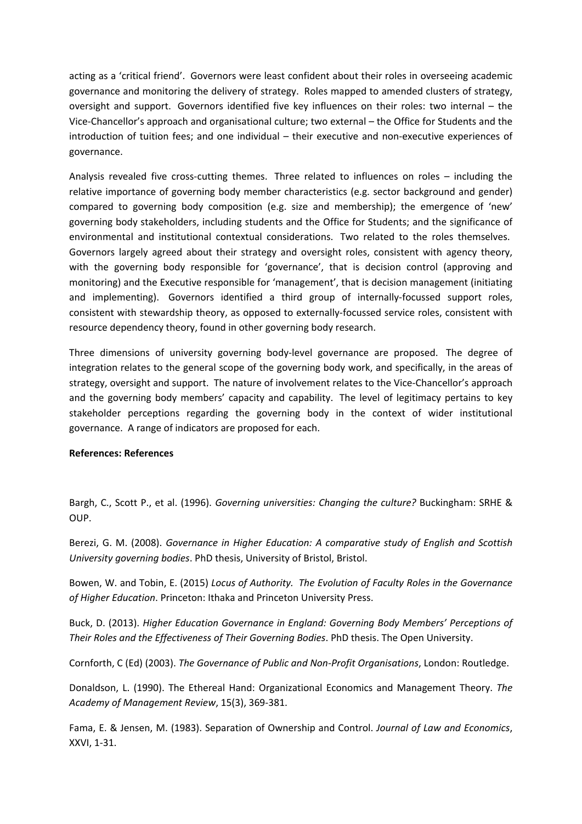acting as <sup>a</sup> 'critical friend'. Governors were least confident about their roles in overseeing academic governance and monitoring the delivery of strategy. Roles mapped to amended clusters of strategy, oversight and support. Governors identified five key influences on their roles: two internal – the Vice-Chancellor's approach and organisational culture; two external – the Office for Students and the introduction of tuition fees; and one individual – their executive and non-executive experiences of governance.

Analysis revealed five cross-cutting themes. Three related to influences on roles – including the relative importance of governing body member characteristics (e.g. sector background and gender) compared to governing body composition (e.g. size and membership); the emergence of 'new' governing body stakeholders, including students and the Office for Students; and the significance of environmental and institutional contextual considerations. Two related to the roles themselves. Governors largely agreed about their strategy and oversight roles, consistent with agency theory, with the governing body responsible for 'governance', that is decision control (approving and monitoring) and the Executive responsible for 'management', that is decision management (initiating and implementing). Governors identified <sup>a</sup> third group of internally-focussed support roles, consistent with stewardship theory, as opposed to externally-focussed service roles, consistent with resource dependency theory, found in other governing body research.

Three dimensions of university governing body-level governance are proposed. The degree of integration relates to the general scope of the governing body work, and specifically, in the areas of strategy, oversight and support. The nature of involvement relates to the Vice-Chancellor's approach and the governing body members' capacity and capability. The level of legitimacy pertains to key stakeholder perceptions regarding the governing body in the context of wider institutional governance. A range of indicators are proposed for each.

#### **References: References**

Bargh, C., Scott P., et al. (1996). *Governing universities: Changing the culture?* Buckingham: SRHE & OUP.

Berezi, G. M. (2008). *Governance in Higher Education: A comparative study of English and Scottish University governing bodies*. PhD thesis, University of Bristol, Bristol.

Bowen, W. and Tobin, E. (2015) *Locus of Authority. The Evolution of Faculty Roles in the Governance of Higher Education*. Princeton: Ithaka and Princeton University Press.

Buck, D. (2013). *Higher Education Governance in England: Governing Body Members' Perceptions of Their Roles and the Effectiveness of Their Governing Bodies*. PhD thesis. The Open University.

Cornforth, C (Ed) (2003). *The Governance of Public and Non-Profit Organisations*, London: Routledge.

Donaldson, L. (1990). The Ethereal Hand: Organizational Economics and Management Theory. *The Academy of Management Review*, 15(3), 369-381.

Fama, E. & Jensen, M. (1983). Separation of Ownership and Control. *Journal of Law and Economics*, XXVI, 1-31.